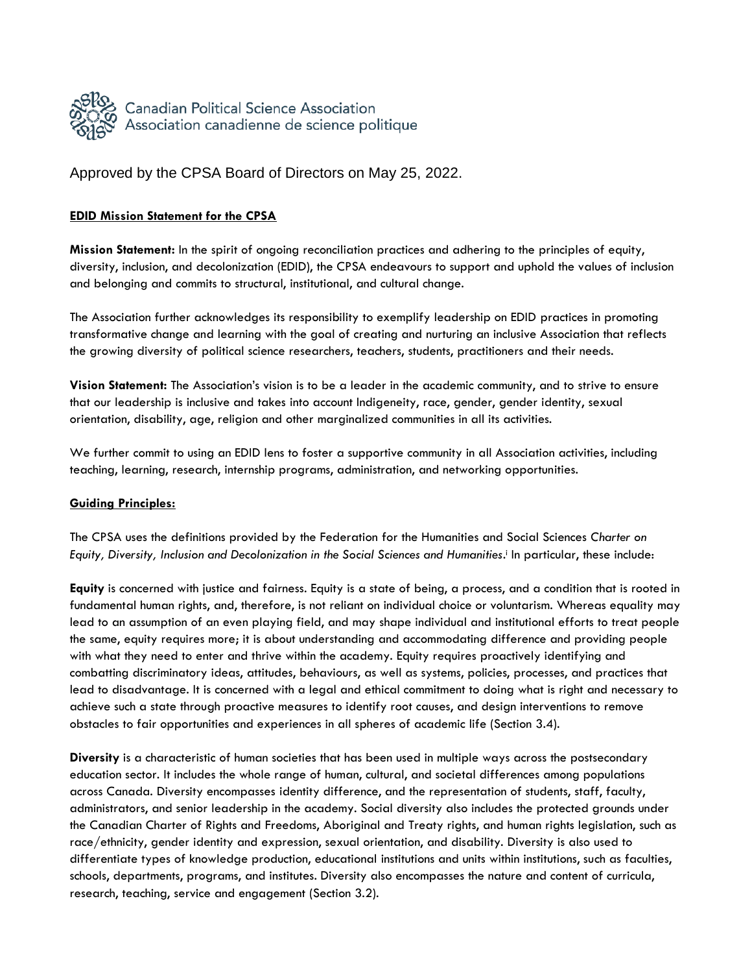

Approved by the CPSA Board of Directors on May 25, 2022.

## **EDID Mission Statement for the CPSA**

**Mission Statement:** In the spirit of ongoing reconciliation practices and adhering to the principles of equity, diversity, inclusion, and decolonization (EDID), the CPSA endeavours to support and uphold the values of inclusion and belonging and commits to structural, institutional, and cultural change.

The Association further acknowledges its responsibility to exemplify leadership on EDID practices in promoting transformative change and learning with the goal of creating and nurturing an inclusive Association that reflects the growing diversity of political science researchers, teachers, students, practitioners and their needs.

**Vision Statement:** The Association's vision is to be a leader in the academic community, and to strive to ensure that our leadership is inclusive and takes into account Indigeneity, race, gender, gender identity, sexual orientation, disability, age, religion and other marginalized communities in all its activities.

We further commit to using an EDID lens to foster a supportive community in all Association activities, including teaching, learning, research, internship programs, administration, and networking opportunities.

## **Guiding Principles:**

The CPSA uses the definitions provided by the Federation for the Humanities and Social Sciences *Charter on*  Equity, Diversity, Inclusion and Decolonization in the Social Sciences and Humanities.<sup>†</sup> In particular, these include:

**Equity** is concerned with justice and fairness. Equity is a state of being, a process, and a condition that is rooted in fundamental human rights, and, therefore, is not reliant on individual choice or voluntarism. Whereas equality may lead to an assumption of an even playing field, and may shape individual and institutional efforts to treat people the same, equity requires more; it is about understanding and accommodating difference and providing people with what they need to enter and thrive within the academy. Equity requires proactively identifying and combatting discriminatory ideas, attitudes, behaviours, as well as systems, policies, processes, and practices that lead to disadvantage. It is concerned with a legal and ethical commitment to doing what is right and necessary to achieve such a state through proactive measures to identify root causes, and design interventions to remove obstacles to fair opportunities and experiences in all spheres of academic life (Section 3.4).

**Diversity** is a characteristic of human societies that has been used in multiple ways across the postsecondary education sector. It includes the whole range of human, cultural, and societal differences among populations across Canada. Diversity encompasses identity difference, and the representation of students, staff, faculty, administrators, and senior leadership in the academy. Social diversity also includes the protected grounds under the Canadian Charter of Rights and Freedoms, Aboriginal and Treaty rights, and human rights legislation, such as race/ethnicity, gender identity and expression, sexual orientation, and disability. Diversity is also used to differentiate types of knowledge production, educational institutions and units within institutions, such as faculties, schools, departments, programs, and institutes. Diversity also encompasses the nature and content of curricula, research, teaching, service and engagement (Section 3.2).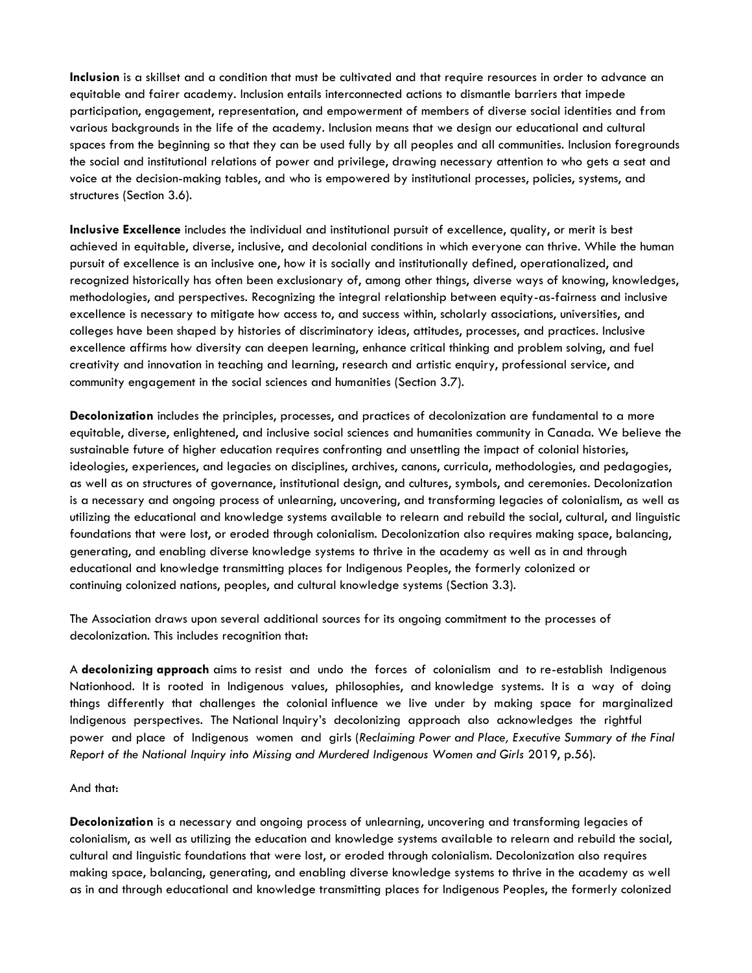**Inclusion** is a skillset and a condition that must be cultivated and that require resources in order to advance an equitable and fairer academy. Inclusion entails interconnected actions to dismantle barriers that impede participation, engagement, representation, and empowerment of members of diverse social identities and from various backgrounds in the life of the academy. Inclusion means that we design our educational and cultural spaces from the beginning so that they can be used fully by all peoples and all communities. Inclusion foregrounds the social and institutional relations of power and privilege, drawing necessary attention to who gets a seat and voice at the decision-making tables, and who is empowered by institutional processes, policies, systems, and structures (Section 3.6).

**Inclusive Excellence** includes the individual and institutional pursuit of excellence, quality, or merit is best achieved in equitable, diverse, inclusive, and decolonial conditions in which everyone can thrive. While the human pursuit of excellence is an inclusive one, how it is socially and institutionally defined, operationalized, and recognized historically has often been exclusionary of, among other things, diverse ways of knowing, knowledges, methodologies, and perspectives. Recognizing the integral relationship between equity-as-fairness and inclusive excellence is necessary to mitigate how access to, and success within, scholarly associations, universities, and colleges have been shaped by histories of discriminatory ideas, attitudes, processes, and practices. Inclusive excellence affirms how diversity can deepen learning, enhance critical thinking and problem solving, and fuel creativity and innovation in teaching and learning, research and artistic enquiry, professional service, and community engagement in the social sciences and humanities (Section 3.7).

**Decolonization** includes the principles, processes, and practices of decolonization are fundamental to a more equitable, diverse, enlightened, and inclusive social sciences and humanities community in Canada. We believe the sustainable future of higher education requires confronting and unsettling the impact of colonial histories, ideologies, experiences, and legacies on disciplines, archives, canons, curricula, methodologies, and pedagogies, as well as on structures of governance, institutional design, and cultures, symbols, and ceremonies. Decolonization is a necessary and ongoing process of unlearning, uncovering, and transforming legacies of colonialism, as well as utilizing the educational and knowledge systems available to relearn and rebuild the social, cultural, and linguistic foundations that were lost, or eroded through colonialism. Decolonization also requires making space, balancing, generating, and enabling diverse knowledge systems to thrive in the academy as well as in and through educational and knowledge transmitting places for Indigenous Peoples, the formerly colonized or continuing colonized nations, peoples, and cultural knowledge systems (Section 3.3).

The Association draws upon several additional sources for its ongoing commitment to the processes of decolonization. This includes recognition that:

A **decolonizing approach** aims to resist and undo the forces of colonialism and to re-establish Indigenous Nationhood. It is rooted in Indigenous values, philosophies, and knowledge systems. It is a way of doing things differently that challenges the colonial influence we live under by making space for marginalized Indigenous perspectives. The National Inquiry's decolonizing approach also acknowledges the rightful power and place of Indigenous women and girls (*Reclaiming Power and Place, Executive Summary of the Final Report of the National Inquiry into Missing and Murdered Indigenous Women and Girls* 2019, p.56).

## And that:

**Decolonization** is a necessary and ongoing process of unlearning, uncovering and transforming legacies of colonialism, as well as utilizing the education and knowledge systems available to relearn and rebuild the social, cultural and linguistic foundations that were lost, or eroded through colonialism. Decolonization also requires making space, balancing, generating, and enabling diverse knowledge systems to thrive in the academy as well as in and through educational and knowledge transmitting places for Indigenous Peoples, the formerly colonized